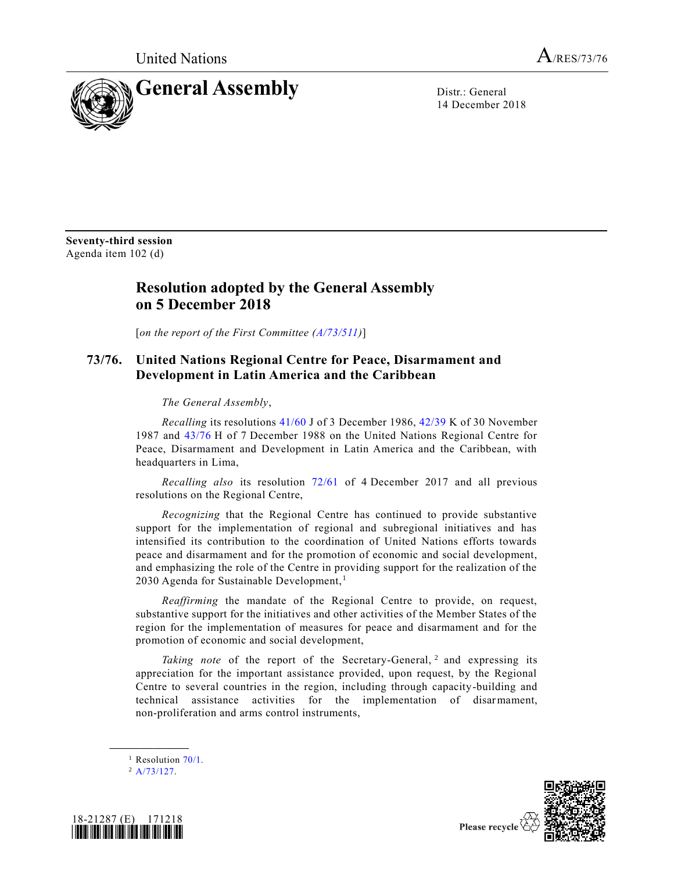

14 December 2018

**Seventy-third session** Agenda item 102 (d)

## **Resolution adopted by the General Assembly on 5 December 2018**

[*on the report of the First Committee [\(A/73/511\)](https://undocs.org/A/73/511)*]

## **73/76. United Nations Regional Centre for Peace, Disarmament and Development in Latin America and the Caribbean**

*The General Assembly*,

*Recalling* its resolutions [41/60](https://undocs.org/A/RES/41/60) J of 3 December 1986, [42/39](https://undocs.org/A/RES/42/39) K of 30 November 1987 and [43/76](https://undocs.org/A/RES/43/76) H of 7 December 1988 on the United Nations Regional Centre for Peace, Disarmament and Development in Latin America and the Caribbean, with headquarters in Lima,

*Recalling also* its resolution [72/61](https://undocs.org/A/RES/72/61) of 4 December 2017 and all previous resolutions on the Regional Centre,

*Recognizing* that the Regional Centre has continued to provide substantive support for the implementation of regional and subregional initiatives and has intensified its contribution to the coordination of United Nations efforts towards peace and disarmament and for the promotion of economic and social development, and emphasizing the role of the Centre in providing support for the realization of the 2030 Agenda for Sustainable Development, <sup>1</sup>

<span id="page-0-0"></span>*Reaffirming* the mandate of the Regional Centre to provide, on request, substantive support for the initiatives and other activities of the Member States of the region for the implementation of measures for peace and disarmament and for the promotion of economic and social development,

Taking note of the report of the Secretary-General, <sup>2</sup> and expressing its appreciation for the important assistance provided, upon request, by the Regional Centre to several countries in the region, including through capacity-building and technical assistance activities for the implementation of disarmament, non-proliferation and arms control instruments,

<sup>1</sup> Resolution  $70/1$ .

 $^2$  [A/73/127.](https://undocs.org/A/73/127)

**\_\_\_\_\_\_\_\_\_\_\_\_\_\_\_\_\_\_**





Please recycle  $\forall$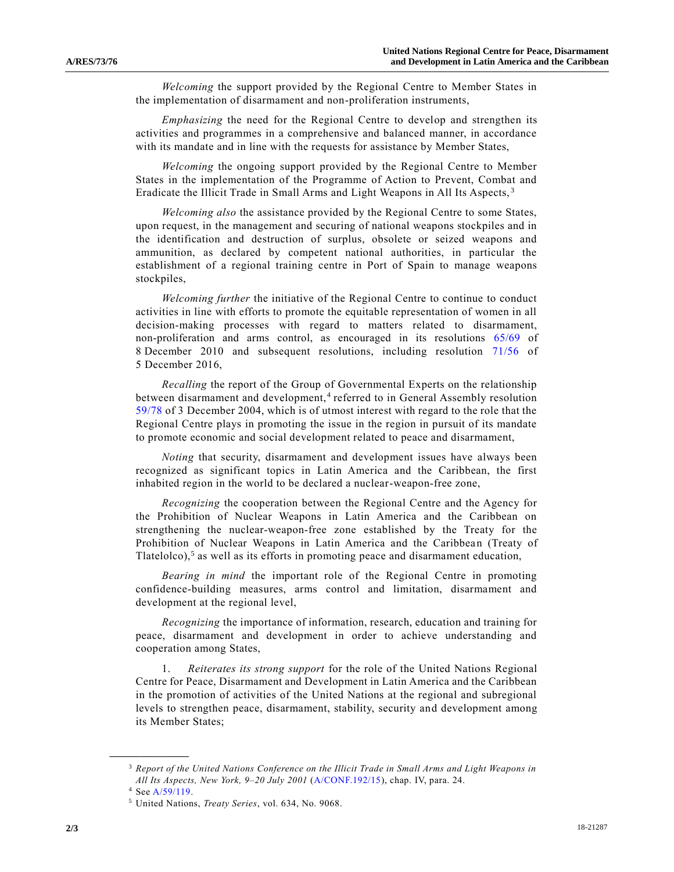*Welcoming* the support provided by the Regional Centre to Member States in the implementation of disarmament and non-proliferation instruments,

*Emphasizing* the need for the Regional Centre to develop and strengthen its activities and programmes in a comprehensive and balanced manner, in accordance with its mandate and in line with the requests for assistance by Member States,

*Welcoming* the ongoing support provided by the Regional Centre to Member States in the implementation of the Programme of Action to Prevent, Combat and Eradicate the Illicit Trade in Small Arms and Light Weapons in All Its Aspects, <sup>3</sup>

<span id="page-1-0"></span>*Welcoming also* the assistance provided by the Regional Centre to some States, upon request, in the management and securing of national weapons stockpiles and in the identification and destruction of surplus, obsolete or seized weapons and ammunition, as declared by competent national authorities, in particular the establishment of a regional training centre in Port of Spain to manage weapons stockpiles,

*Welcoming further* the initiative of the Regional Centre to continue to conduct activities in line with efforts to promote the equitable representation of women in all decision-making processes with regard to matters related to disarmament, non-proliferation and arms control, as encouraged in its resolutions [65/69](https://undocs.org/A/RES/65/69) of 8 December 2010 and subsequent resolutions, including resolution [71/56](https://undocs.org/A/RES/71/56) of 5 December 2016,

*Recalling* the report of the Group of Governmental Experts on the relationship between disarmament and development,<sup>4</sup> referred to in General Assembly resolution [59/78](https://undocs.org/A/RES/59/78) of 3 December 2004, which is of utmost interest with regard to the role that the Regional Centre plays in promoting the issue in the region in pursuit of its mandate to promote economic and social development related to peace and disarmament,

*Noting* that security, disarmament and development issues have always been recognized as significant topics in Latin America and the Caribbean, the first inhabited region in the world to be declared a nuclear-weapon-free zone,

*Recognizing* the cooperation between the Regional Centre and the Agency for the Prohibition of Nuclear Weapons in Latin America and the Caribbean on strengthening the nuclear-weapon-free zone established by the Treaty for the Prohibition of Nuclear Weapons in Latin America and the Caribbean (Treaty of Tlatelolco),<sup>5</sup> as well as its efforts in promoting peace and disarmament education,

*Bearing in mind* the important role of the Regional Centre in promoting confidence-building measures, arms control and limitation, disarmament and development at the regional level,

*Recognizing* the importance of information, research, education and training for peace, disarmament and development in order to achieve understanding and cooperation among States,

1. *Reiterates its strong support* for the role of the United Nations Regional Centre for Peace, Disarmament and Development in Latin America and the Caribbean in the promotion of activities of the United Nations at the regional and subregional levels to strengthen peace, disarmament, stability, security and development among its Member States;

**\_\_\_\_\_\_\_\_\_\_\_\_\_\_\_\_\_\_**

<sup>3</sup> *Report of the United Nations Conference on the Illicit Trade in Small Arms and Light Weapons in All Its Aspects, New York, 9–20 July 2001* [\(A/CONF.192/15\)](https://undocs.org/A/CONF.192/15), chap. IV, para. 24.

<sup>4</sup> Se[e A/59/119.](https://undocs.org/A/59/119)

<sup>5</sup> United Nations, *Treaty Series*, vol. 634, No. 9068.